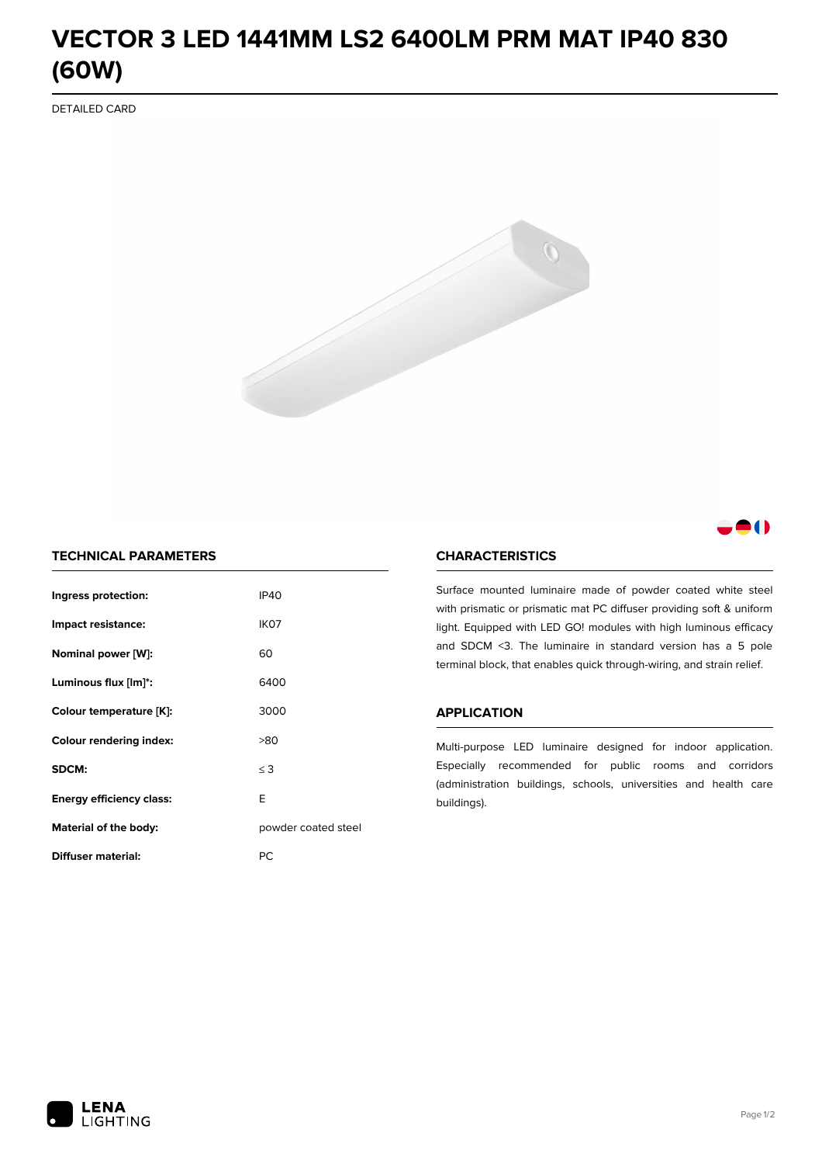# **VECTOR 3 LED 1441MM LS2 6400LM PRM MAT IP40 830 (60W)**

DETAILED CARD



# 80

# **TECHNICAL PARAMETERS**

| Ingress protection:             | <b>IP40</b>         |  |
|---------------------------------|---------------------|--|
| Impact resistance:              | IK <sub>07</sub>    |  |
| Nominal power [W]:              | 60                  |  |
| Luminous flux [lm]*:            | 6400                |  |
| Colour temperature [K]:         | 3000                |  |
| <b>Colour rendering index:</b>  | >80                 |  |
| SDCM:                           | $\leq$ 3            |  |
| <b>Energy efficiency class:</b> | E                   |  |
| Material of the body:           | powder coated steel |  |
| Diffuser material:              | РC                  |  |

### **CHARACTERISTICS**

Surface mounted luminaire made of powder coated white steel with prismatic or prismatic mat PC diffuser providing soft & uniform light. Equipped with LED GO! modules with high luminous efficacy and SDCM <3. The luminaire in standard version has a 5 pole terminal block, that enables quick through-wiring, and strain relief.

#### **APPLICATION**

Multi-purpose LED luminaire designed for indoor application. Especially recommended for public rooms and corridors (administration buildings, schools, universities and health care buildings).